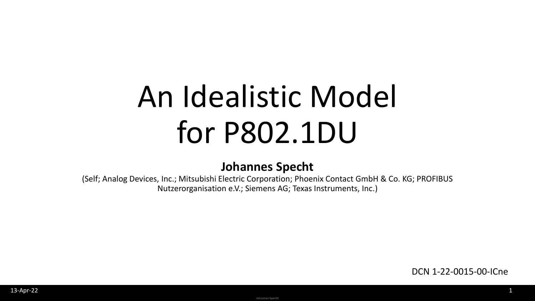# An Idealistic Model for P802.1DU

#### **Johannes Specht**

(Self; Analog Devices, Inc.; Mitsubishi Electric Corporation; Phoenix Contact GmbH & Co. KG; PROFIBUS Nutzerorganisation e.V.; Siemens AG; Texas Instruments, Inc.)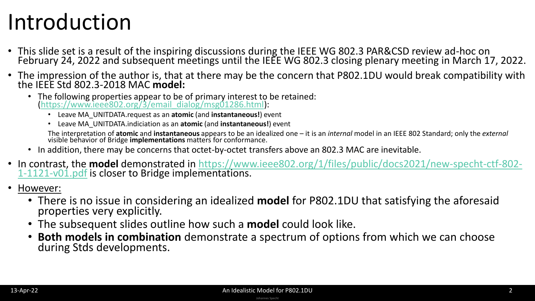## Introduction

- This slide set is a result of the inspiring discussions during the IEEE WG 802.3 PAR&CSD review ad-hoc on February 24, 2022 and subsequent meetings until the IEEE WG 802.3 closing plenary meeting in March 17, 2022.
- The impression of the author is, that at there may be the concern that P802.1DU would break compatibility with the IEEE Std 802.3-2018 MAC **model:**
	- The following properties appear to be of primary interest to be retained: [\(https://www.ieee802.org/3/email\\_dialog/msg01286.html\)](https://www.ieee802.org/3/email_dialog/msg01286.html):
		- Leave MA\_UNITDATA.request as an **atomic** (and **instantaneous!**) event
		- Leave MA\_UNITDATA.indiciation as an **atomic** (and **instantaneous!**) event

The interpretation of **atomic** and **instantaneous** appears to be an idealized one – it is an *internal* model in an IEEE 802 Standard; only the *external* visible behavior of Bridge **implementations** matters for conformance.

- In addition, there may be concerns that octet-by-octet transfers above an 802.3 MAC are inevitable.
- In contrast, the **model** [demonstrated in https://www.ieee802.org/1/files/public/docs2021/new-specht-ctf-802-](https://www.ieee802.org/1/files/public/docs2021/new-specht-ctf-802-1-1121-v01.pdf) 1-1121-v01.pdf is closer to Bridge implementations.
- However:
	- There is no issue in considering an idealized **model** for P802.1DU that satisfying the aforesaid properties very explicitly.
	- The subsequent slides outline how such a **model** could look like.
	- **Both models in combination** demonstrate a spectrum of options from which we can choose during Stds developments.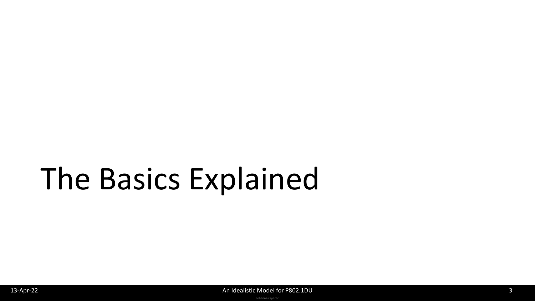# The Basics Explained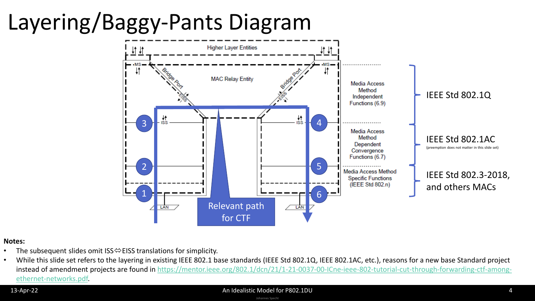## Layering/Baggy-Pants Diagram



#### **Notes:**

- The subsequent slides omit ISS $\Leftrightarrow$  EISS translations for simplicity.
- While this slide set refers to the layering in existing IEEE 802.1 base standards (IEEE Std 802.1Q, IEEE 802.1AC, etc.), reasons for a new base Standard project [instead of amendment projects are found in https://mentor.ieee.org/802.1/dcn/21/1-21-0037-00-ICne-ieee-802-tutorial-cut-through-forwarding-ctf-among](https://mentor.ieee.org/802.1/dcn/21/1-21-0037-00-ICne-ieee-802-tutorial-cut-through-forwarding-ctf-among-ethernet-networks.pdf)ethernet-networks.pdf.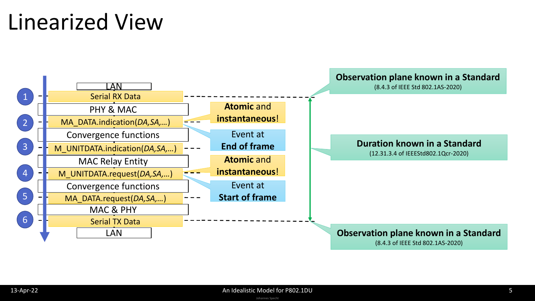### Linearized View

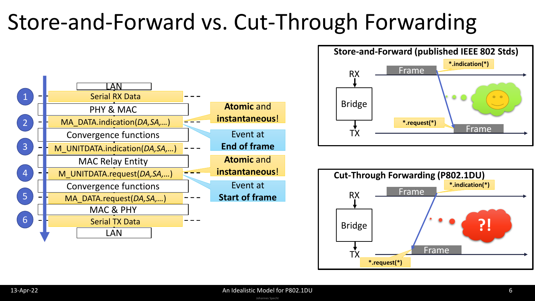## Store-and-Forward vs. Cut-Through Forwarding





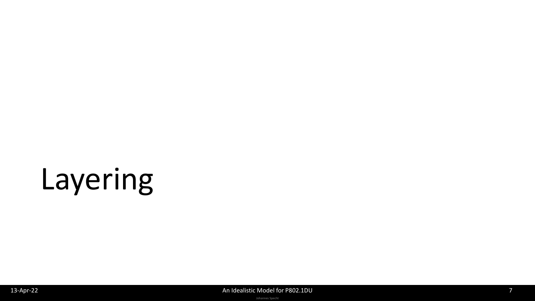# Layering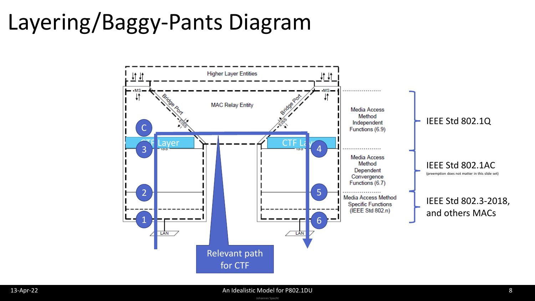## Layering/Baggy-Pants Diagram

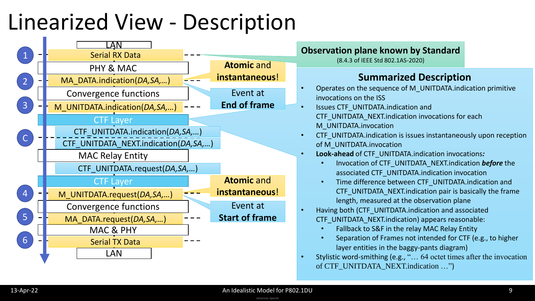## Linearized View - Description

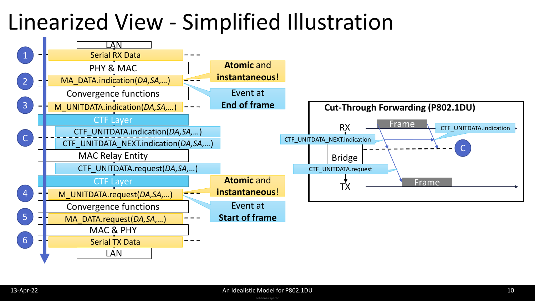### Linearized View - Simplified Illustration

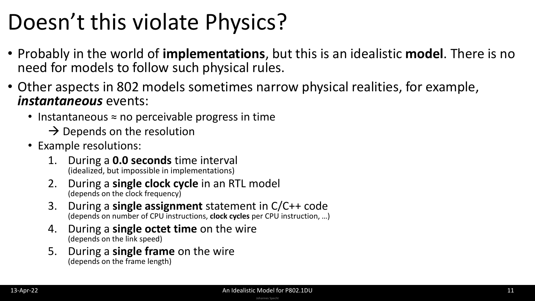## Doesn't this violate Physics?

- Probably in the world of **implementations**, but this is an idealistic **model**. There is no need for models to follow such physical rules.
- Other aspects in 802 models sometimes narrow physical realities, for example, *instantaneous* events:
	- Instantaneous ≈ no perceivable progress in time
		- $\rightarrow$  Depends on the resolution
	- Example resolutions:
		- 1. During a **0.0 seconds** time interval (idealized, but impossible in implementations)
		- 2. During a **single clock cycle** in an RTL model (depends on the clock frequency)
		- 3. During a **single assignment** statement in C/C++ code (depends on number of CPU instructions, **clock cycles** per CPU instruction, …)
		- 4. During a **single octet time** on the wire (depends on the link speed)
		- 5. During a **single frame** on the wire (depends on the frame length)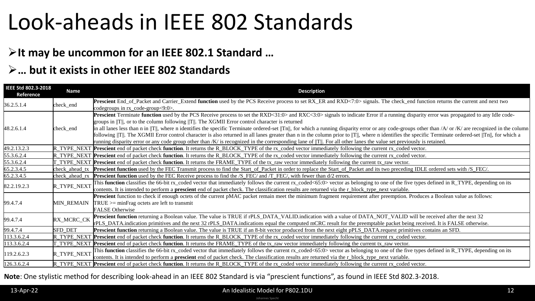### Look-aheads in IEEE 802 Standards

### ➢**It may be uncommon for an IEEE 802.1 Standard …**

### ➢**… but it exists in other IEEE 802 Standards**

| IEEE Std 802.3-2018<br>Reference | <b>Name</b>       | <b>Description</b>                                                                                                                                                                                                                                                                                                                                                                                                                                                                                                                                                                                                                                                                                                                                                                                                                                                                                      |
|----------------------------------|-------------------|---------------------------------------------------------------------------------------------------------------------------------------------------------------------------------------------------------------------------------------------------------------------------------------------------------------------------------------------------------------------------------------------------------------------------------------------------------------------------------------------------------------------------------------------------------------------------------------------------------------------------------------------------------------------------------------------------------------------------------------------------------------------------------------------------------------------------------------------------------------------------------------------------------|
| 36.2.5.1.4                       | check_end         | Prescient End_of_Packet and Carrier_Extend function used by the PCS Receive process to set RX_ER and RXD<7:0> signals. The check_end function returns the current and next two<br>codegroups in $rx$ code-group $<9:0>$ .                                                                                                                                                                                                                                                                                                                                                                                                                                                                                                                                                                                                                                                                               |
| 48.2.6.1.4                       | check_end         | Prescient Terminate function used by the PCS Receive process to set the RXD<31:0> and RXC<3:0> signals to indicate Error if a running disparity error was propagated to any Idle code-<br>groups in $  T  $ , or to the column following $  T  $ . The XGMII Error control character is returned<br>in all lanes less than n in $  T  $ , where n identifies the specific Terminate ordered-set $  T  $ , for which a running disparity error or any code-groups other than $/A$ or $/K$ are recognized in the column<br>following   T  . The XGMII Error control character is also returned in all lanes greater than n in the column prior to   T  , where n identifies the specific Terminate ordered-set   Tn  , for which a<br>running disparity error or any code group other than /K/ is recognized in the corresponding lane of  T  . For all other lanes the value set previously is retained. |
| 49.2.13.2.3                      | IR TYPE NEXT      | Prescient end of packet check function. It returns the R_BLOCK_TYPE of the rx_coded vector immediately following the current rx_coded vector.                                                                                                                                                                                                                                                                                                                                                                                                                                                                                                                                                                                                                                                                                                                                                           |
| 55.3.6.2.4                       |                   | TYPE_NEXT Prescient end of packet check function. It returns the R_BLOCK_TYPE of the rx_coded vector immediately following the current rx_coded vector.                                                                                                                                                                                                                                                                                                                                                                                                                                                                                                                                                                                                                                                                                                                                                 |
| 55.3.6.2.4                       |                   | T_TYPE_NEXT Prescient end of packet check function. It returns the FRAME_TYPE of the tx_raw vector immediately following the current tx_raw vector.                                                                                                                                                                                                                                                                                                                                                                                                                                                                                                                                                                                                                                                                                                                                                     |
| 65.2.3.4.5                       | check ahead tx    | Prescient function used by the FEC Transmit process to find the Start_of_Packet in order to replace the Start_of_Packet and its two preceding IDLE ordered sets with /S_FEC/.                                                                                                                                                                                                                                                                                                                                                                                                                                                                                                                                                                                                                                                                                                                           |
| 65.2.3.4.5                       | kheck ahead rx    | <b>Prescient function</b> used by the FEC Receive process to find the /S_FEC/ and /T_FEC/, with fewer than d/2 errors.                                                                                                                                                                                                                                                                                                                                                                                                                                                                                                                                                                                                                                                                                                                                                                                  |
| 82.2.19.2.3                      | R TYPE NEXT       | This function classifies the 66-bit rx_coded vector that immediately follows the current rx_coded<65:0> vector as belonging to one of the five types defined in R_TYPE, depending on its<br>contents. It is intended to perform a <b>prescient</b> end of packet check. The classification results are returned via the r_block_type_next variable.                                                                                                                                                                                                                                                                                                                                                                                                                                                                                                                                                     |
| 99.4.7.4                         | <b>MIN REMAIN</b> | Prescient function to check if enough octets of the current pMAC packet remain meet the minimum fragment requirement after preemption. Produces a Boolean value as follows:<br>$TRUE \geq$ = minFrag octets are left to transmit<br><b>FALSE</b> Otherwise                                                                                                                                                                                                                                                                                                                                                                                                                                                                                                                                                                                                                                              |
| 99.4.7.4                         | RX_MCRC_CK        | Prescient function returning a Boolean value. The value is TRUE if rPLS_DATA_VALID.indication with a value of DATA_NOT_VALID will be received after the next 32<br>rPLS_DATA.indication primitives and the next 32 rPLS_DATA.indications equal the computed mCRC result for the preemptable packet being received. It is FALSE otherwise.                                                                                                                                                                                                                                                                                                                                                                                                                                                                                                                                                               |
| 99.4.7.4                         | <b>SFD DET</b>    | <b>Prescient function</b> returning a Boolean value. The value is TRUE if an 8-bit vector produced from the next eight pPLS_DATA.request primitives contains an SFD.                                                                                                                                                                                                                                                                                                                                                                                                                                                                                                                                                                                                                                                                                                                                    |
| 113.3.6.2.4                      | R_TYPE_NEXT       | <b>Prescient</b> end of packet check function. It returns the R_BLOCK_TYPE of the rx_coded vector immediately following the current rx_coded vector.                                                                                                                                                                                                                                                                                                                                                                                                                                                                                                                                                                                                                                                                                                                                                    |
| 113.3.6.2.4                      | TYPE NEXT         | <b>Prescient</b> end of packet check <b>function</b> . It returns the FRAME_TYPE of the tx_raw vector immediately following the current tx_raw vector.                                                                                                                                                                                                                                                                                                                                                                                                                                                                                                                                                                                                                                                                                                                                                  |
| 119.2.6.2.3                      | R_TYPE_NEXT       | This function classifies the 66-bit rx_coded vector that immediately follows the current rx_coded<65:0> vector as belonging to one of the five types defined in R_TYPE, depending on its<br>contents. It is intended to perform a <b>prescient</b> end of packet check. The classification results are returned via the r_block_type_next variable.                                                                                                                                                                                                                                                                                                                                                                                                                                                                                                                                                     |
| 126.3.6.2.4                      |                   | R_TYPE_NEXT Prescient end of packet check function. It returns the R_BLOCK_TYPE of the rx_coded vector immediately following the current rx_coded vector.                                                                                                                                                                                                                                                                                                                                                                                                                                                                                                                                                                                                                                                                                                                                               |

#### **Note**: One stylistic method for describing look-ahead in an IEEE 802 Standard is via "prescient functions", as found in IEEE Std 802.3-2018.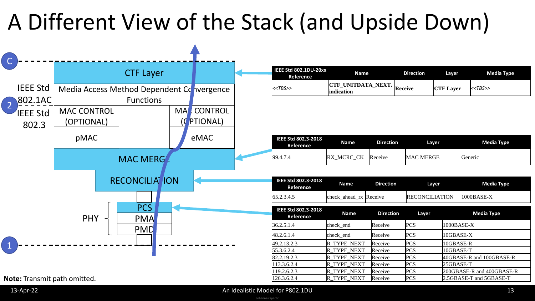## A Different View of the Stack (and Upside Down)



| IEEE Std 802.1DU-20xx<br>Reference | Name                              | Direction | Laver            | Media Type   |
|------------------------------------|-----------------------------------|-----------|------------------|--------------|
| < <tbs>&gt;</tbs>                  | CTF_UNITDATA_NEXT.<br>lindication | Receive   | <b>CTF Layer</b> | $K < TBS$ >> |

| IEEE Std 802.3-2018<br>Reference | Name              | <b>Direction</b> | Laver            | Media Type |
|----------------------------------|-------------------|------------------|------------------|------------|
| 99.4.7.4                         | <b>RX MCRC CK</b> | Receive          | <b>MAC MERGE</b> | Generic    |

| IEEE Std 802.3-2018<br>Reference | Name                   | Direction | Laver           | Media Type   |
|----------------------------------|------------------------|-----------|-----------------|--------------|
| 65.2.3.4.5                       | check_ahead_rx Receive |           | IRECONCILIATION | $1000BASE-X$ |

| IEEE Std 802.3-2018<br>Reference | <b>Name</b>        | <b>Direction</b> | Layer      | <b>Media Type</b>         |
|----------------------------------|--------------------|------------------|------------|---------------------------|
| 36.2.5.1.4                       | check end          | Receive          | <b>PCS</b> | 1000BASE-X                |
| 48.2.6.1.4                       | check_end          | Receive          | <b>PCS</b> | 10GBASE-X                 |
| 49.2.13.2.3                      | R TYPE NEXT        | Receive          | <b>PCS</b> | 10GBASE-R                 |
| 55.3.6.2.4                       | R TYPE NEXT        | Receive          | <b>PCS</b> | 10GBASE-T                 |
| 82.2.19.2.3                      | R TYPE NEXT        | Receive          | <b>PCS</b> | 40GBASE-R and 100GBASE-R  |
| 113.3.6.2.4                      | R TYPE NEXT        | Receive          | <b>PCS</b> | 25GBASE-T                 |
| 119.2.6.2.3                      | R TYPE NEXT        | Receive          | <b>PCS</b> | 200GBASE-R and 400GBASE-R |
| 126.3.6.2.4                      | <b>R TYPE NEXT</b> | Receive          | <b>PCS</b> | 2.5GBASE-T and 5GBASE-T   |

**Note:** Transmit path omitted.

Johannes Specht 13-Apr-22 **An Idealistic Model for P802.1DU** 13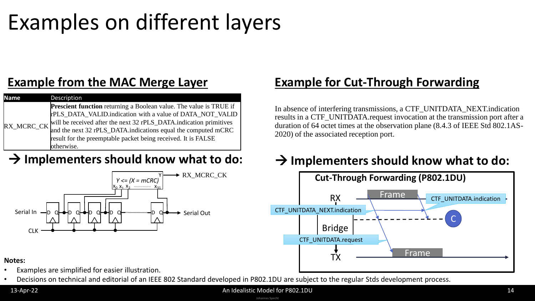### Examples on different layers

### **Example from the MAC Merge Layer**

| <b>Name</b> | Description                                                               |
|-------------|---------------------------------------------------------------------------|
|             | <b>Prescient function</b> returning a Boolean value. The value is TRUE if |
|             | rPLS_DATA_VALID.indication with a value of DATA_NOT_VALID                 |
| RX_MCRC_CK  | will be received after the next 32 rPLS_DATA.indication primitives        |
|             | and the next 32 rPLS_DATA.indications equal the computed mCRC             |
|             | result for the preemptable packet being received. It is FALSE             |
|             | otherwise.                                                                |



### **Example for Cut-Through Forwarding**

In absence of interfering transmissions, a CTF\_UNITDATA\_NEXT.indication results in a CTF\_UNITDATA.request invocation at the transmission port after a duration of 64 octet times at the observation plane (8.4.3 of IEEE Std 802.1AS-2020) of the associated reception port.

### → Implementers should know what to do: → Implementers should know what to do:



#### **Notes:**

- Examples are simplified for easier illustration.
- Decisions on technical and editorial of an IEEE 802 Standard developed in P802.1DU are subject to the regular Stds development process.

#### 13-Apr-22 **An Idealistic Model for P802.1DU** 14

Johannes Specht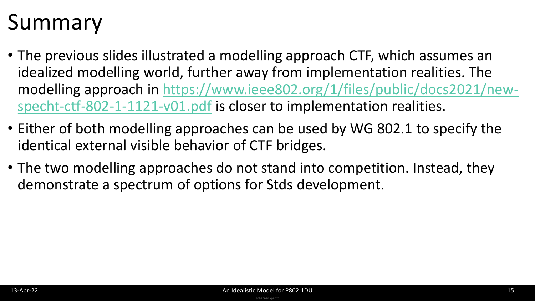## Summary

- The previous slides illustrated a modelling approach CTF, which assumes an idealized modelling world, further away from implementation realities. The [modelling approach in https://www.ieee802.org/1/files/public/docs2021/new](https://www.ieee802.org/1/files/public/docs2021/new-specht-ctf-802-1-1121-v01.pdf)specht-ctf-802-1-1121-v01.pdf is closer to implementation realities.
- Either of both modelling approaches can be used by WG 802.1 to specify the identical external visible behavior of CTF bridges.
- The two modelling approaches do not stand into competition. Instead, they demonstrate a spectrum of options for Stds development.